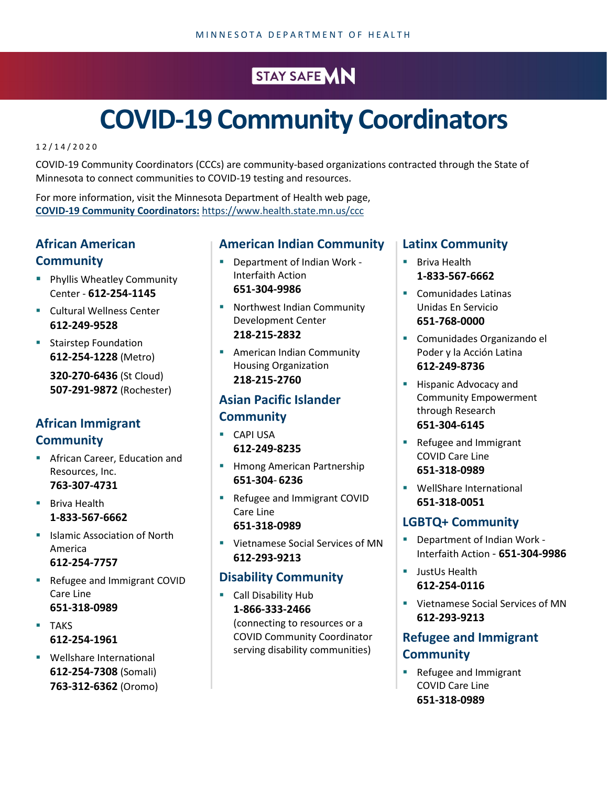## STAY SAFE MN

# **COVID-19 Community Coordinators**

1 2 / 1 4 /2020

COVID-19 Community Coordinators (CCCs) are community-based organizations contracted through the State of Minnesota to connect communities to COVID-19 testing and resources.

For more information, visit the Minnesota Department of Health web page, **[COVID-19 Community Coordinators:](https://www.health.state.mn.us/ccc)** <https://www.health.state.mn.us/ccc>

#### **African American Community**

- **Phyllis Wheatley Community** Center - **612-254-1145**
- **E** Cultural Wellness Center **612-249-9528**
- **Stairstep Foundation 612-254-1228** (Metro)

**320-270-6436** (St Cloud) **507-291-9872** (Rochester)

#### **African Immigrant Community**

**African Career, Education and** Resources, Inc. **763-307-4731**

**Briva Health 1-833-567-6662**

- **In Italian Islamic Association of North** America **612-254-7757**
- Refugee and Immigrant COVID Care Line **651-318-0989**
- **TAKS 612-254-1961**
- **Wellshare International 612-254-7308** (Somali) **763-312-6362** (Oromo)

#### **American Indian Community**

- Department of Indian Work Interfaith Action **651-304-9986**
- **Northwest Indian Community** Development Center **218-215-2832**
- **American Indian Community** Housing Organization **218-215-2760**

### **Asian Pacific Islander Community**

- **CAPI USA 612-249-8235**
- **He Hmong American Partnership 651-304**- **6236**
- Refugee and Immigrant COVID Care Line **651-318-0989**
- Vietnamese Social Services of MN **612-293-9213**

#### **Disability Community**

**Call Disability Hub 1-866-333-2466** (connecting to resources or a COVID Community Coordinator serving disability communities)

#### **Latinx Community**

- **Briva Health 1-833-567-6662**
- Comunidades Latinas Unidas En Servicio **651-768-0000**
- Comunidades Organizando el Poder y la Acción Latina **612-249-8736**
- **Hispanic Advocacy and** Community Empowerment through Research **651-304-6145**
- **Refugee and Immigrant** COVID Care Line **651-318-0989**
- **WellShare International 651-318-0051**

#### **LGBTQ+ Community**

- Department of Indian Work Interfaith Action - **651-304-9986**
- JustUs Health **612-254-0116**
- Vietnamese Social Services of MN **612-293-9213**

#### **Refugee and Immigrant Community**

 Refugee and Immigrant COVID Care Line **651-318-0989**